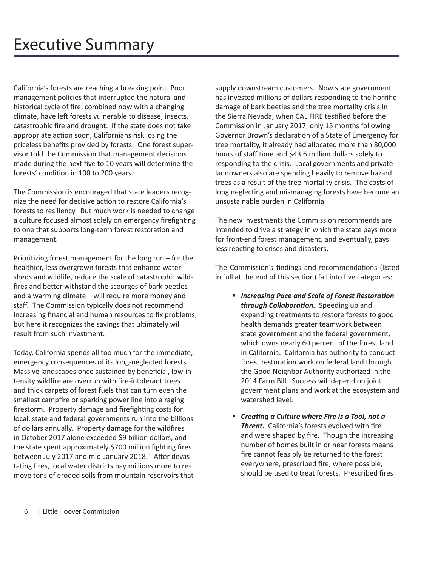Californiaís forests are reaching a breaking point. Poor management policies that interrupted the natural and historical cycle of fire, combined now with a changing climate, have left forests vulnerable to disease, insects, catastrophic fire and drought. If the state does not take appropriate action soon, Californians risk losing the priceless benefits provided by forests. One forest supervisor told the Commission that management decisions made during the next five to 10 years will determine the forests' condition in 100 to 200 years.

The Commission is encouraged that state leaders recognize the need for decisive action to restore California's forests to resiliency. But much work is needed to change a culture focused almost solely on emergency firefighting to one that supports long-term forest restoration and management.

Prioritizing forest management for the long run  $-$  for the healthier, less overgrown forests that enhance watersheds and wildlife, reduce the scale of catastrophic wild fires and better withstand the scourges of bark beetles and a warming climate  $-$  will require more money and staff. The Commission typically does not recommend increasing financial and human resources to fix problems, but here it recognizes the savings that ultimately will result from such investment.

Today, California spends all too much for the immediate, emergency consequences of its long-neglected forests. Massive landscapes once sustained by beneficial, low-intensity wild fire are overrun with fire-intolerant trees and thick carpets of forest fuels that can turn even the smallest campfire or sparking power line into a raging firestorm. Property damage and firefighting costs for local, state and federal governments run into the billions of dollars annually. Property damage for the wildfires in October 2017 alone exceeded \$9 billion dollars, and the state spent approximately \$700 million fighting fires between July 2017 and mid-January 2018.<sup>1</sup> After devastating fires, local water districts pay millions more to remove tons of eroded soils from mountain reservoirs that supply downstream customers. Now state government has invested millions of dollars responding to the horrific damage of bark beetles and the tree mortality crisis in the Sierra Nevada; when CAL FIRE testified before the Commission in January 2017, only 15 months following Governor Brown's declaration of a State of Emergency for tree mortality, it already had allocated more than 80,000 hours of staff time and \$43.6 million dollars solely to responding to the crisis. Local governments and private landowners also are spending heavily to remove hazard trees as a result of the tree mortality crisis. The costs of long neglecting and mismanaging forests have become an unsustainable burden in California.

The new investments the Commission recommends are intended to drive a strategy in which the state pays more for front-end forest management, and eventually, pays less reacting to crises and disasters.

The Commission's findings and recommendations (listed in full at the end of this section) fall into five categories:

- **Increasing Pace and Scale of Forest Restoration through Collaboration.** Speeding up and expanding treatments to restore forests to good health demands greater teamwork between state government and the federal government, which owns nearly 60 percent of the forest land in California. California has authority to conduct forest restoration work on federal land through the Good Neighbor Authority authorized in the 2014 Farm Bill. Success will depend on joint government plans and work at the ecosystem and watershed level.
- **Example 2 Figure III Creating a Culture where Fire is a Tool, not a Threat.** California's forests evolved with fire and were shaped by fire. Though the increasing number of homes built in or near forests means fire cannot feasibly be returned to the forest everywhere, prescribed fire, where possible, should be used to treat forests. Prescribed fires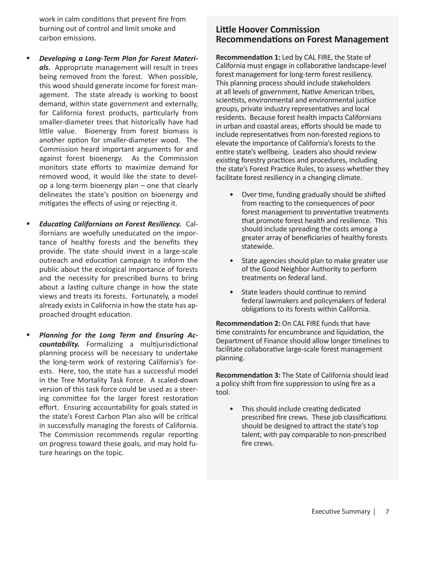work in calm conditions that prevent fire from burning out of control and limit smoke and carbon emissions.

- Developing a Long-Term Plan for Forest Materials. Appropriate management will result in trees being removed from the forest. When possible, this wood should generate income for forest management. The state already is working to boost demand, within state government and externally, for California forest products, particularly from smaller-diameter trees that historically have had little value. Bioenergy from forest biomass is another option for smaller-diameter wood. The Commission heard important arguments for and against forest bioenergy. As the Commission monitors state efforts to maximize demand for removed wood, it would like the state to develop a long-term bioenergy plan - one that clearly delineates the state's position on bioenergy and mitigates the effects of using or rejecting it.
- $\blacksquare$ **Educating Californians on Forest Resiliency.** Californians are woefully uneducated on the importance of healthy forests and the benefits they provide. The state should invest in a large-scale outreach and education campaign to inform the public about the ecological importance of forests and the necessity for prescribed burns to bring about a lasting culture change in how the state views and treats its forests. Fortunately, a model already exists in California in how the state has approached drought education.
- f, Planning for the Long Term and Ensuring Accountability. Formalizing a multijurisdictional planning process will be necessary to undertake the long-term work of restoring California's forests. Here, too, the state has a successful model in the Tree Mortality Task Force. A scaled-down version of this task force could be used as a steering committee for the larger forest restoration effort. Ensuring accountability for goals stated in the state's Forest Carbon Plan also will be critical in successfully managing the forests of California. The Commission recommends regular reporting on progress toward these goals, and may hold future hearings on the topic.

## **Little Hoover Commission Recommendations on Forest Management**

Recommendation 1: Led by CAL FIRE, the State of California must engage in collaborative landscape-level forest management for long-term forest resiliency. This planning process should include stakeholders at all levels of government, Native American tribes, scientists, environmental and environmental justice groups, private industry representatives and local residents. Because forest health impacts Californians in urban and coastal areas, efforts should be made to include representatives from non-forested regions to elevate the importance of California's forests to the entire state's wellbeing. Leaders also should review existing forestry practices and procedures, including the state's Forest Practice Rules, to assess whether they facilitate forest resiliency in a changing climate.

- Over time, funding gradually should be shifted from reacting to the consequences of poor forest management to preventative treatments that promote forest health and resilience. This should include spreading the costs among a greater array of beneficiaries of healthy forests statewide.
- State agencies should plan to make greater use of the Good Neighbor Authority to perform treatments on federal land.
- State leaders should continue to remind  $\bullet$ federal lawmakers and policymakers of federal obligations to its forests within California.

**Recommendation 2: On CAL FIRE funds that have** time constraints for encumbrance and liquidation, the Department of Finance should allow longer timelines to facilitate collaborative large-scale forest management planning.

Recommendation 3: The State of California should lead a policy shift from fire suppression to using fire as a tool.

• This should include creating dedicated prescribed fire crews. These job classifications should be designed to attract the state's top talent, with pay comparable to non-prescribed fire crews.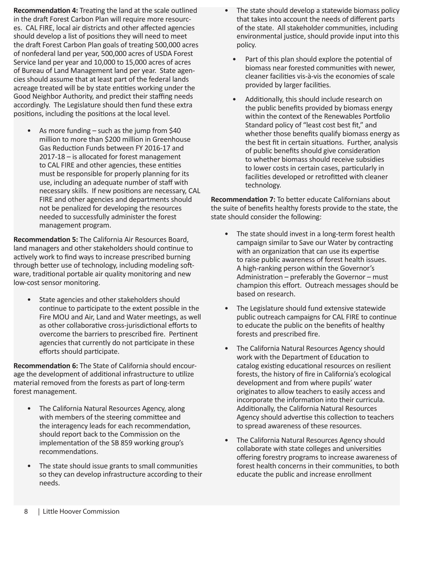**Recommendation 4:** Treating the land at the scale outlined in the draft Forest Carbon Plan will require more resources. CAL FIRE, local air districts and other affected agencies should develop a list of positions they will need to meet the draft Forest Carbon Plan goals of treating 500,000 acres of nonfederal land per year, 500,000 acres of USDA Forest Service land per year and 10,000 to 15,000 acres of acres of Bureau of Land Management land per year. State agencies should assume that at least part of the federal lands acreage treated will be by state entities working under the Good Neighbor Authority, and predict their staffing needs accordingly. The Legislature should then fund these extra positions, including the positions at the local level.

As more funding  $-$  such as the jump from \$40 million to more than \$200 million in Greenhouse Gas Reduction Funds between FY 2016-17 and  $2017-18$  – is allocated for forest management to CAL FIRE and other agencies, these entities must be responsible for properly planning for its use, including an adequate number of staff with necessary skills. If new positions are necessary, CAL FIRE and other agencies and departments should not be penalized for developing the resources needed to successfully administer the forest management program.

**Recommendation 5:** The California Air Resources Board, land managers and other stakeholders should continue to actively work to find ways to increase prescribed burning through better use of technology, including modeling software, traditional portable air quality monitoring and new low-cost sensor monitoring.

• State agencies and other stakeholders should continue to participate to the extent possible in the Fire MOU and Air, Land and Water meetings, as well as other collaborative cross-jurisdictional efforts to overcome the barriers to prescribed fire. Pertinent agencies that currently do not participate in these efforts should participate.

**Recommendation 6:** The State of California should encourage the development of additional infrastructure to utilize material removed from the forests as part of long-term forest management.

- The California Natural Resources Agency, along with members of the steering committee and the interagency leads for each recommendation, should report back to the Commission on the implementation of the SB 859 working group's recommendations.
- The state should issue grants to small communities so they can develop infrastructure according to their needs.
- The state should develop a statewide biomass policy that takes into account the needs of different parts of the state. All stakeholder communities, including environmental justice, should provide input into this policy.
	- Part of this plan should explore the potential of biomass near forested communities with newer. cleaner facilities vis-à-vis the economies of scale provided by larger facilities.
	- Additionally, this should include research on the public benefits provided by biomass energy within the context of the Renewables Portfolio Standard policy of "least cost best fit," and whether those benefits qualify biomass energy as the best fit in certain situations. Further, analysis of public benefits should give consideration to whether biomass should receive subsidies to lower costs in certain cases, particularly in facilities developed or retrofitted with cleaner technology.

**Recommendation 7:** To better educate Californians about the suite of benefits healthy forests provide to the state, the state should consider the following:

- The state should invest in a long-term forest health campaign similar to Save our Water by contracting with an organization that can use its expertise to raise public awareness of forest health issues. A high-ranking person within the Governor's Administration  $-$  preferably the Governor  $-$  must champion this effort. Outreach messages should be based on research.
- The Legislature should fund extensive statewide public outreach campaigns for CAL FIRE to continue to educate the public on the benefits of healthy forests and prescribed fire.
- The California Natural Resources Agency should work with the Department of Education to catalog existing educational resources on resilient forests, the history of fire in California's ecological development and from where pupils' water originates to allow teachers to easily access and incorporate the information into their curricula. Additionally, the California Natural Resources Agency should advertise this collection to teachers to spread awareness of these resources.
- The California Natural Resources Agency should collaborate with state colleges and universities offering forestry programs to increase awareness of forest health concerns in their communities, to both educate the public and increase enrollment